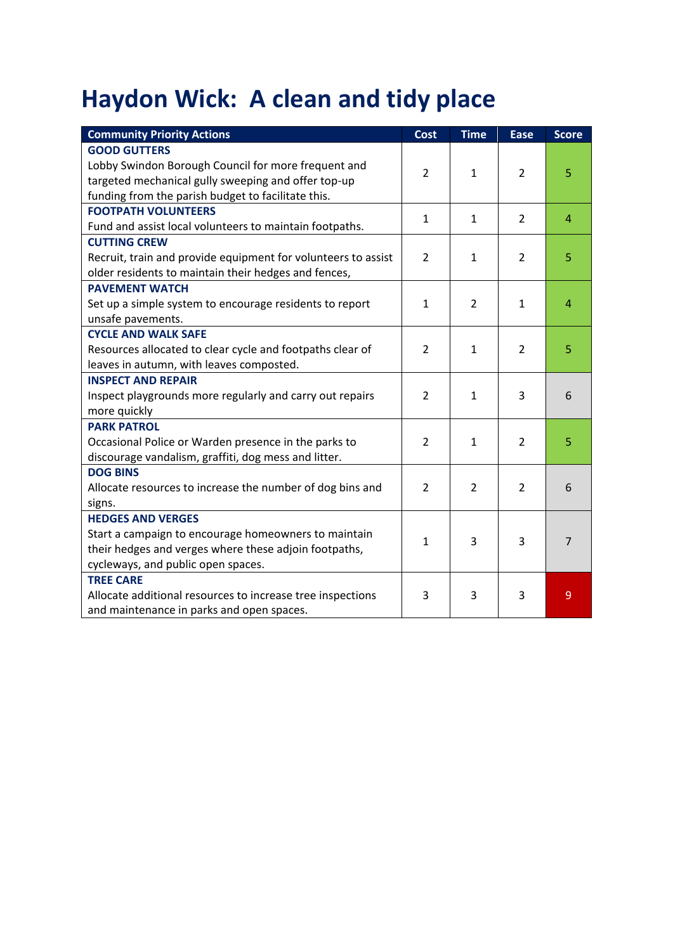## **Haydon Wick: A clean and tidy place**

| <b>Community Priority Actions</b>                             | <b>Cost</b>    | <b>Time</b>    | <b>Ease</b>    | <b>Score</b>   |
|---------------------------------------------------------------|----------------|----------------|----------------|----------------|
| <b>GOOD GUTTERS</b>                                           |                |                |                |                |
| Lobby Swindon Borough Council for more frequent and           | $\overline{2}$ | 1              | 2              | 5              |
| targeted mechanical gully sweeping and offer top-up           |                |                |                |                |
| funding from the parish budget to facilitate this.            |                |                |                |                |
| <b>FOOTPATH VOLUNTEERS</b>                                    |                |                | $\overline{2}$ | $\overline{4}$ |
| Fund and assist local volunteers to maintain footpaths.       | $\mathbf{1}$   | $\mathbf{1}$   |                |                |
| <b>CUTTING CREW</b>                                           |                |                |                |                |
| Recruit, train and provide equipment for volunteers to assist | $\overline{2}$ | 1              | 2              | 5              |
| older residents to maintain their hedges and fences,          |                |                |                |                |
| <b>PAVEMENT WATCH</b>                                         |                |                |                |                |
| Set up a simple system to encourage residents to report       | $\mathbf{1}$   | $\overline{2}$ | $\mathbf{1}$   | $\overline{4}$ |
| unsafe pavements.                                             |                |                |                |                |
| <b>CYCLE AND WALK SAFE</b>                                    |                |                |                |                |
| Resources allocated to clear cycle and footpaths clear of     | $\overline{2}$ | $\mathbf{1}$   | $\overline{2}$ | 5              |
| leaves in autumn, with leaves composted.                      |                |                |                |                |
| <b>INSPECT AND REPAIR</b>                                     |                |                |                |                |
| Inspect playgrounds more regularly and carry out repairs      | $\overline{2}$ | $\mathbf{1}$   | 3              | 6              |
| more quickly                                                  |                |                |                |                |
| <b>PARK PATROL</b>                                            |                |                |                |                |
| Occasional Police or Warden presence in the parks to          | $\overline{2}$ | $\mathbf{1}$   | $\overline{2}$ | 5              |
| discourage vandalism, graffiti, dog mess and litter.          |                |                |                |                |
| <b>DOG BINS</b>                                               |                |                |                |                |
| Allocate resources to increase the number of dog bins and     | $\overline{2}$ | $\overline{2}$ | $\overline{2}$ | 6              |
| signs.                                                        |                |                |                |                |
| <b>HEDGES AND VERGES</b>                                      |                |                |                |                |
| Start a campaign to encourage homeowners to maintain          | $\mathbf 1$    | 3              | 3              | $\overline{7}$ |
| their hedges and verges where these adjoin footpaths,         |                |                |                |                |
| cycleways, and public open spaces.                            |                |                |                |                |
| <b>TREE CARE</b>                                              |                |                |                |                |
| Allocate additional resources to increase tree inspections    | 3              | 3              | 3              | 9              |
| and maintenance in parks and open spaces.                     |                |                |                |                |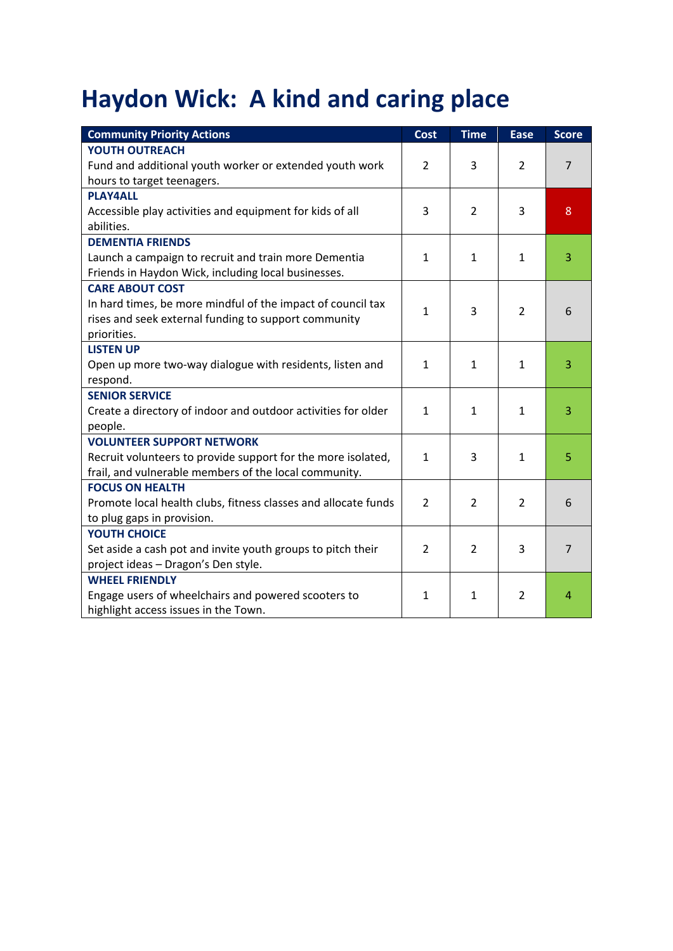## **Haydon Wick: A kind and caring place**

| <b>Community Priority Actions</b>                              | <b>Cost</b>    | <b>Time</b>    | <b>Ease</b>    | <b>Score</b>   |
|----------------------------------------------------------------|----------------|----------------|----------------|----------------|
| <b>YOUTH OUTREACH</b>                                          |                |                |                |                |
| Fund and additional youth worker or extended youth work        | $\overline{2}$ | 3              | $\overline{2}$ | $\overline{7}$ |
| hours to target teenagers.                                     |                |                |                |                |
| <b>PLAY4ALL</b>                                                |                |                |                |                |
| Accessible play activities and equipment for kids of all       | 3              | $\overline{2}$ | 3              | 8              |
| abilities.                                                     |                |                |                |                |
| <b>DEMENTIA FRIENDS</b>                                        |                |                |                |                |
| Launch a campaign to recruit and train more Dementia           | $\mathbf{1}$   | $\mathbf{1}$   | 1              | 3              |
| Friends in Haydon Wick, including local businesses.            |                |                |                |                |
| <b>CARE ABOUT COST</b>                                         |                |                |                |                |
| In hard times, be more mindful of the impact of council tax    | $\mathbf{1}$   | 3              | $\overline{2}$ | 6              |
| rises and seek external funding to support community           |                |                |                |                |
| priorities.                                                    |                |                |                |                |
| <b>LISTEN UP</b>                                               |                |                |                |                |
| Open up more two-way dialogue with residents, listen and       | 1              | $\mathbf{1}$   | 1              | 3              |
| respond.                                                       |                |                |                |                |
| <b>SENIOR SERVICE</b>                                          |                |                |                |                |
| Create a directory of indoor and outdoor activities for older  | $\mathbf{1}$   | $\mathbf{1}$   | 1              | 3              |
| people.                                                        |                |                |                |                |
| <b>VOLUNTEER SUPPORT NETWORK</b>                               |                |                |                |                |
| Recruit volunteers to provide support for the more isolated,   | $\mathbf{1}$   | 3              | $\mathbf{1}$   | 5              |
| frail, and vulnerable members of the local community.          |                |                |                |                |
| <b>FOCUS ON HEALTH</b>                                         |                |                |                |                |
| Promote local health clubs, fitness classes and allocate funds | $\overline{2}$ | $\overline{2}$ | $\overline{2}$ | 6              |
| to plug gaps in provision.                                     |                |                |                |                |
| <b>YOUTH CHOICE</b>                                            |                |                |                |                |
| Set aside a cash pot and invite youth groups to pitch their    | $\overline{2}$ | $\overline{2}$ | 3              | $\overline{7}$ |
| project ideas - Dragon's Den style.                            |                |                |                |                |
| <b>WHEEL FRIENDLY</b>                                          |                |                |                |                |
| Engage users of wheelchairs and powered scooters to            | $\mathbf{1}$   | 1              | $\overline{2}$ | 4              |
| highlight access issues in the Town.                           |                |                |                |                |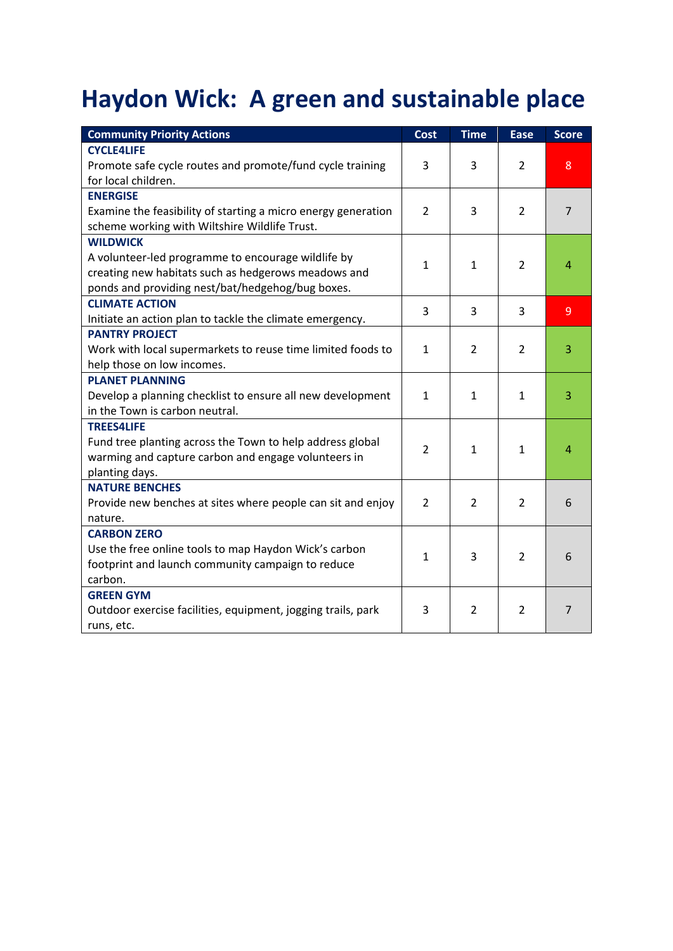## **Haydon Wick: A green and sustainable place**

| <b>Community Priority Actions</b>                             | <b>Cost</b>    | <b>Time</b>    | <b>Ease</b>    | <b>Score</b>   |
|---------------------------------------------------------------|----------------|----------------|----------------|----------------|
| <b>CYCLE4LIFE</b>                                             |                |                |                |                |
| Promote safe cycle routes and promote/fund cycle training     | 3              | 3              | $\overline{2}$ | 8              |
| for local children.                                           |                |                |                |                |
| <b>ENERGISE</b>                                               |                |                |                |                |
| Examine the feasibility of starting a micro energy generation | $\overline{2}$ | 3              | $\overline{2}$ | $\overline{7}$ |
| scheme working with Wiltshire Wildlife Trust.                 |                |                |                |                |
| <b>WILDWICK</b>                                               |                |                |                |                |
| A volunteer-led programme to encourage wildlife by            | $\mathbf{1}$   | $\mathbf{1}$   | $\overline{2}$ | $\overline{4}$ |
| creating new habitats such as hedgerows meadows and           |                |                |                |                |
| ponds and providing nest/bat/hedgehog/bug boxes.              |                |                |                |                |
| <b>CLIMATE ACTION</b>                                         | 3              | 3              | 3              | 9              |
| Initiate an action plan to tackle the climate emergency.      |                |                |                |                |
| <b>PANTRY PROJECT</b>                                         |                |                |                |                |
| Work with local supermarkets to reuse time limited foods to   | $\mathbf{1}$   | $\overline{2}$ | $\overline{2}$ | 3              |
| help those on low incomes.                                    |                |                |                |                |
| <b>PLANET PLANNING</b>                                        |                |                |                |                |
| Develop a planning checklist to ensure all new development    | $\mathbf{1}$   | $\mathbf{1}$   | $\mathbf{1}$   | 3              |
| in the Town is carbon neutral.                                |                |                |                |                |
| <b>TREES4LIFE</b>                                             |                |                |                |                |
| Fund tree planting across the Town to help address global     | $\overline{2}$ | $\mathbf{1}$   | $\mathbf{1}$   | $\overline{4}$ |
| warming and capture carbon and engage volunteers in           |                |                |                |                |
| planting days.                                                |                |                |                |                |
| <b>NATURE BENCHES</b>                                         |                |                |                |                |
| Provide new benches at sites where people can sit and enjoy   | 2              | 2              | $\overline{2}$ | 6              |
| nature.                                                       |                |                |                |                |
| <b>CARBON ZERO</b>                                            |                |                |                |                |
| Use the free online tools to map Haydon Wick's carbon         | $\mathbf{1}$   | 3              | $\mathcal{P}$  | 6              |
| footprint and launch community campaign to reduce             |                |                |                |                |
| carbon.                                                       |                |                |                |                |
| <b>GREEN GYM</b>                                              |                |                |                |                |
| Outdoor exercise facilities, equipment, jogging trails, park  | 3              | $\overline{2}$ | $\overline{2}$ | $\overline{7}$ |
| runs, etc.                                                    |                |                |                |                |